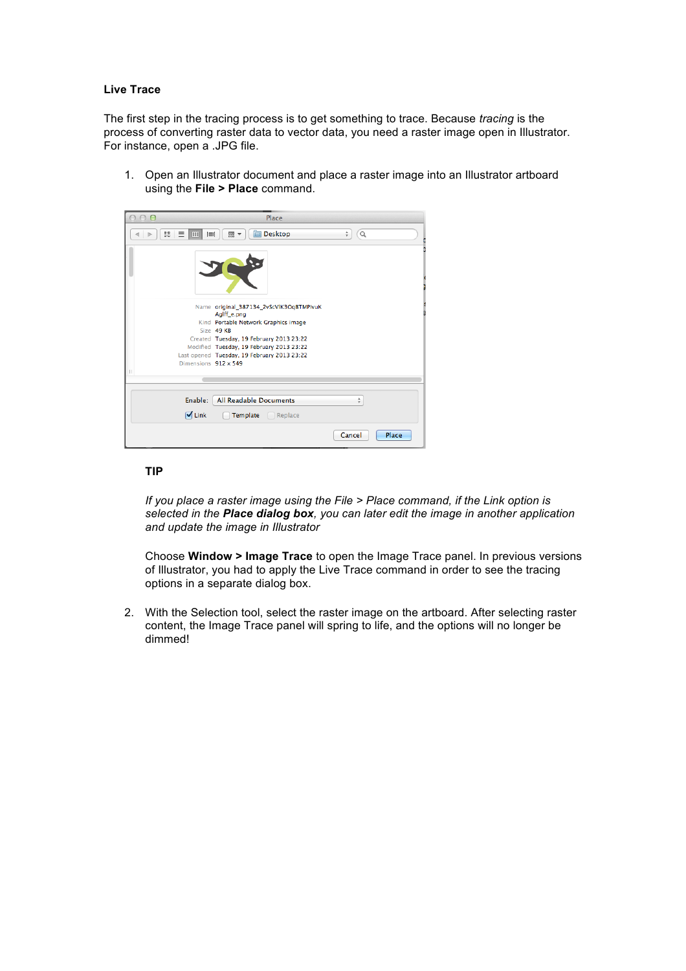#### **Live Trace**

The first step in the tracing process is to get something to trace. Because *tracing* is the process of converting raster data to vector data, you need a raster image open in Illustrator. For instance, open a .JPG file.

1. Open an Illustrator document and place a raster image into an Illustrator artboard using the **File > Place** command.

| $\circ$ $\circ$               | Place                                               |                 |
|-------------------------------|-----------------------------------------------------|-----------------|
| 쁣<br>亖<br><b>IImil</b><br>III | <b>Desktop</b><br>品 一<br>⊟                          | ÷<br>Q          |
|                               |                                                     |                 |
|                               | Name original_387134_2vScVlK3OqBTMPIvuK             |                 |
|                               | Aglff_e.png<br>Kind Portable Network Graphics image |                 |
|                               | Size 49 KB                                          |                 |
|                               | Created Tuesday, 19 February 2013 23:22             |                 |
|                               | Modified Tuesday, 19 February 2013 23:22            |                 |
|                               | Last opened Tuesday, 19 February 2013 23:22         |                 |
| Dimensions 912 x 549          |                                                     |                 |
| П                             |                                                     |                 |
|                               |                                                     |                 |
| Enable:                       | All Readable Documents                              | ÷               |
| <b>√</b> Link                 | Template<br>Replace<br>e e                          |                 |
|                               |                                                     | Place<br>Cancel |

# **TIP**

*If you place a raster image using the File > Place command, if the Link option is selected in the Place dialog box, you can later edit the image in another application and update the image in Illustrator*

Choose **Window > Image Trace** to open the Image Trace panel. In previous versions of Illustrator, you had to apply the Live Trace command in order to see the tracing options in a separate dialog box.

2. With the Selection tool, select the raster image on the artboard. After selecting raster content, the Image Trace panel will spring to life, and the options will no longer be dimmed!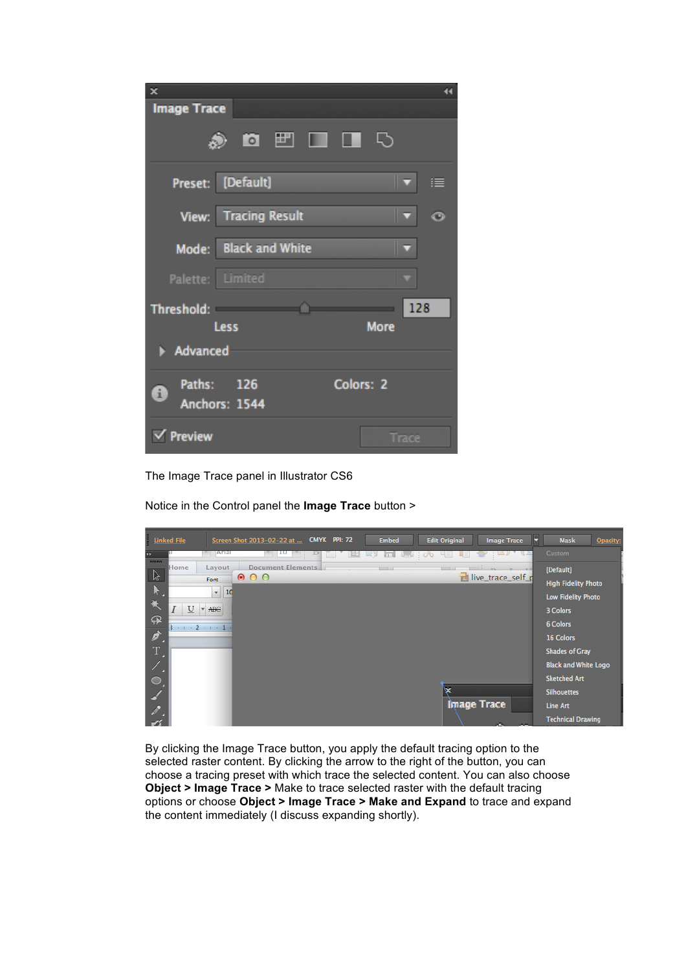| ×                           | 44          |
|-----------------------------|-------------|
| <b>Image Trace</b>          |             |
| <b>8 F I I 5</b>            |             |
| Preset: [Default]           | 津<br>IV.    |
| <b>View:</b> Tracing Result | O<br>⊽      |
| Mode: Black and White       |             |
| Palette: Limited            | v           |
| Threshold: Threshold:       | 128         |
| Less                        | <b>More</b> |
| Advanced                    |             |
| Paths: 126<br>Ŧ             | Colors: 2   |
| Anchors: 1544               |             |
| Preview                     | Trace       |

The Image Trace panel in Illustrator CS6

Notice in the Control panel the **Image Trace** button >



By clicking the Image Trace button, you apply the default tracing option to the selected raster content. By clicking the arrow to the right of the button, you can choose a tracing preset with which trace the selected content. You can also choose **Object > Image Trace >** Make to trace selected raster with the default tracing options or choose **Object > Image Trace > Make and Expand** to trace and expand the content immediately (I discuss expanding shortly).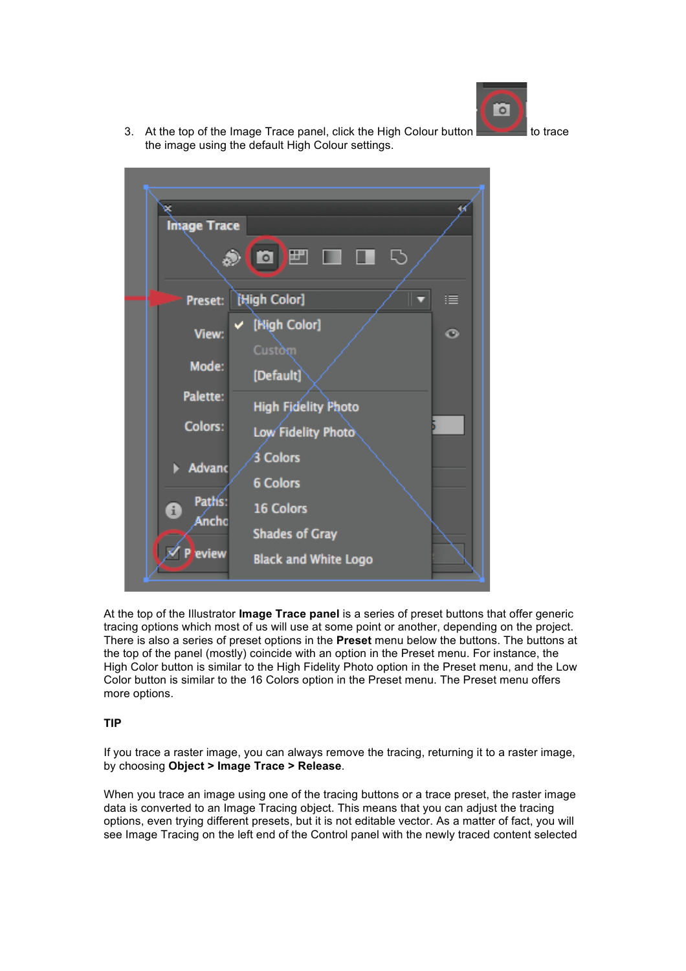

3. At the top of the Image Trace panel, click the High Colour button to trace the image using the default High Colour settings.



At the top of the Illustrator **Image Trace panel** is a series of preset buttons that offer generic tracing options which most of us will use at some point or another, depending on the project. There is also a series of preset options in the **Preset** menu below the buttons. The buttons at the top of the panel (mostly) coincide with an option in the Preset menu. For instance, the High Color button is similar to the High Fidelity Photo option in the Preset menu, and the Low Color button is similar to the 16 Colors option in the Preset menu. The Preset menu offers more options.

### **TIP**

If you trace a raster image, you can always remove the tracing, returning it to a raster image, by choosing **Object > Image Trace > Release**.

When you trace an image using one of the tracing buttons or a trace preset, the raster image data is converted to an Image Tracing object. This means that you can adjust the tracing options, even trying different presets, but it is not editable vector. As a matter of fact, you will see Image Tracing on the left end of the Control panel with the newly traced content selected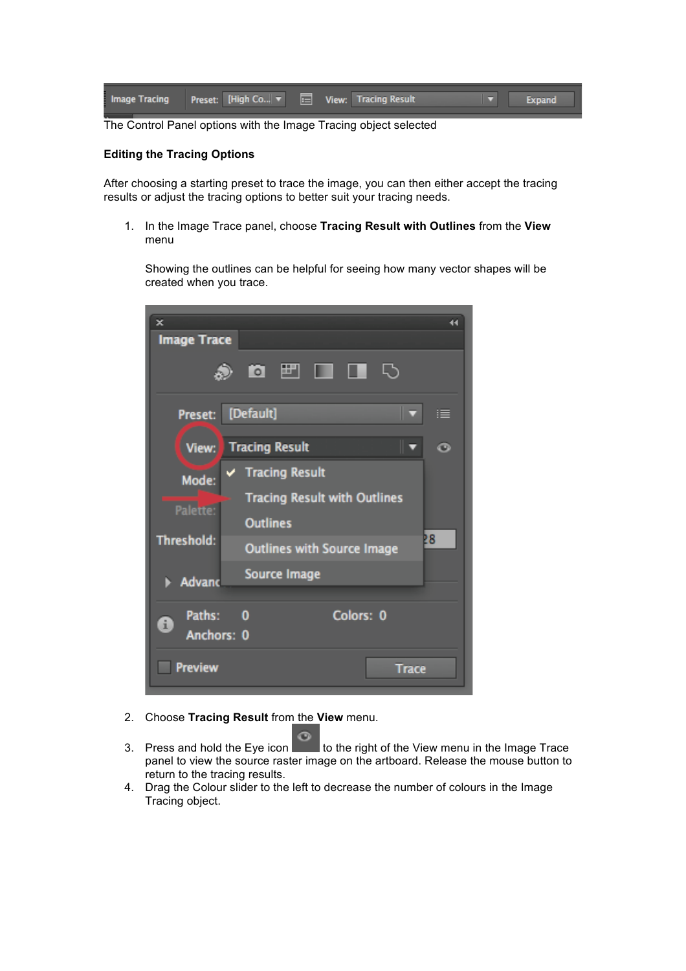| Image Tracing Preset: [High Co  ▼   E   View: Tracing Result |  |  |  | Expand |
|--------------------------------------------------------------|--|--|--|--------|
|                                                              |  |  |  |        |

The Control Panel options with the Image Tracing object selected

# **Editing the Tracing Options**

After choosing a starting preset to trace the image, you can then either accept the tracing results or adjust the tracing options to better suit your tracing needs.

1. In the Image Trace panel, choose **Tracing Result with Outlines** from the **View** menu

Showing the outlines can be helpful for seeing how many vector shapes will be created when you trace.



- 2. Choose **Tracing Result** from the **View** menu.
- 3. Press and hold the Eye icon to the right of the View menu in the Image Trace panel to view the source raster image on the artboard. Release the mouse button to return to the tracing results.
- 4. Drag the Colour slider to the left to decrease the number of colours in the Image Tracing object.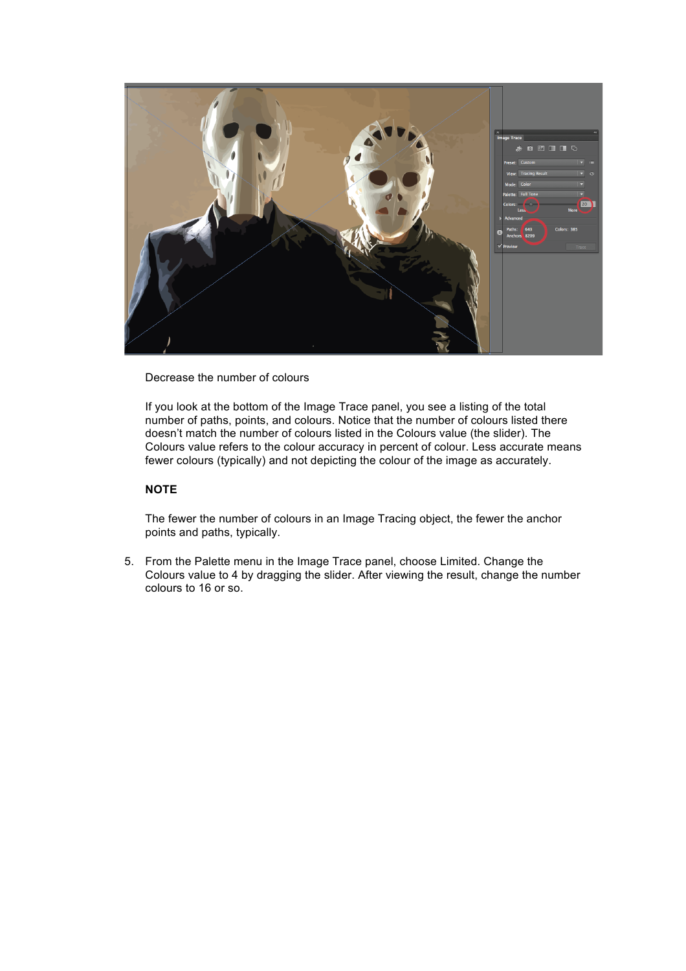

Decrease the number of colours

If you look at the bottom of the Image Trace panel, you see a listing of the total number of paths, points, and colours. Notice that the number of colours listed there doesn't match the number of colours listed in the Colours value (the slider). The Colours value refers to the colour accuracy in percent of colour. Less accurate means fewer colours (typically) and not depicting the colour of the image as accurately.

# **NOTE**

The fewer the number of colours in an Image Tracing object, the fewer the anchor points and paths, typically.

5. From the Palette menu in the Image Trace panel, choose Limited. Change the Colours value to 4 by dragging the slider. After viewing the result, change the number colours to 16 or so.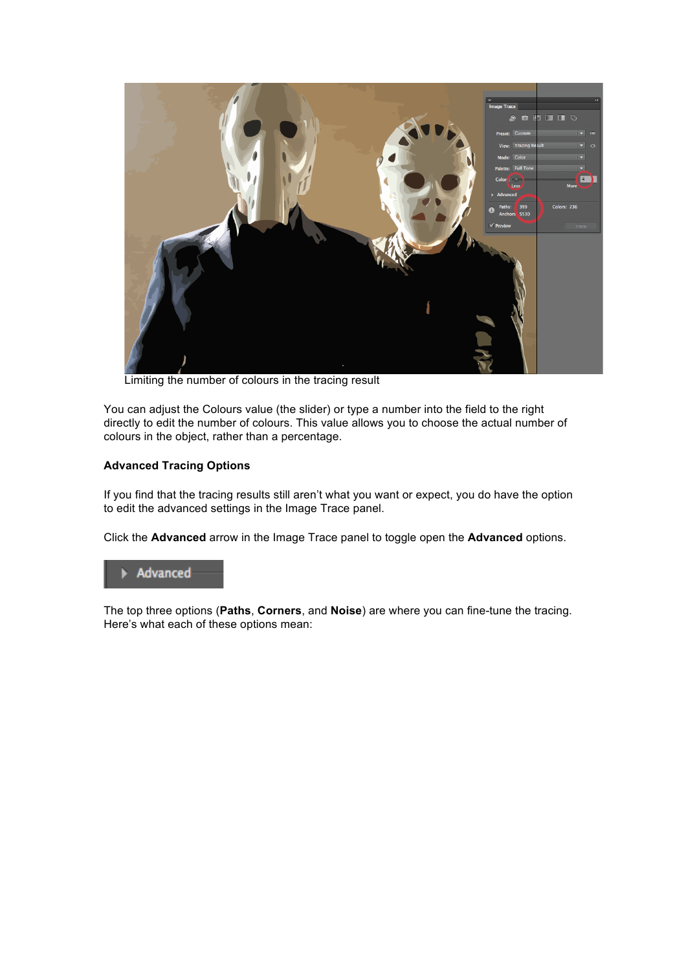

Limiting the number of colours in the tracing result

You can adjust the Colours value (the slider) or type a number into the field to the right directly to edit the number of colours. This value allows you to choose the actual number of colours in the object, rather than a percentage.

### **Advanced Tracing Options**

If you find that the tracing results still aren't what you want or expect, you do have the option to edit the advanced settings in the Image Trace panel.

Click the **Advanced** arrow in the Image Trace panel to toggle open the **Advanced** options.



The top three options (**Paths**, **Corners**, and **Noise**) are where you can fine-tune the tracing. Here's what each of these options mean: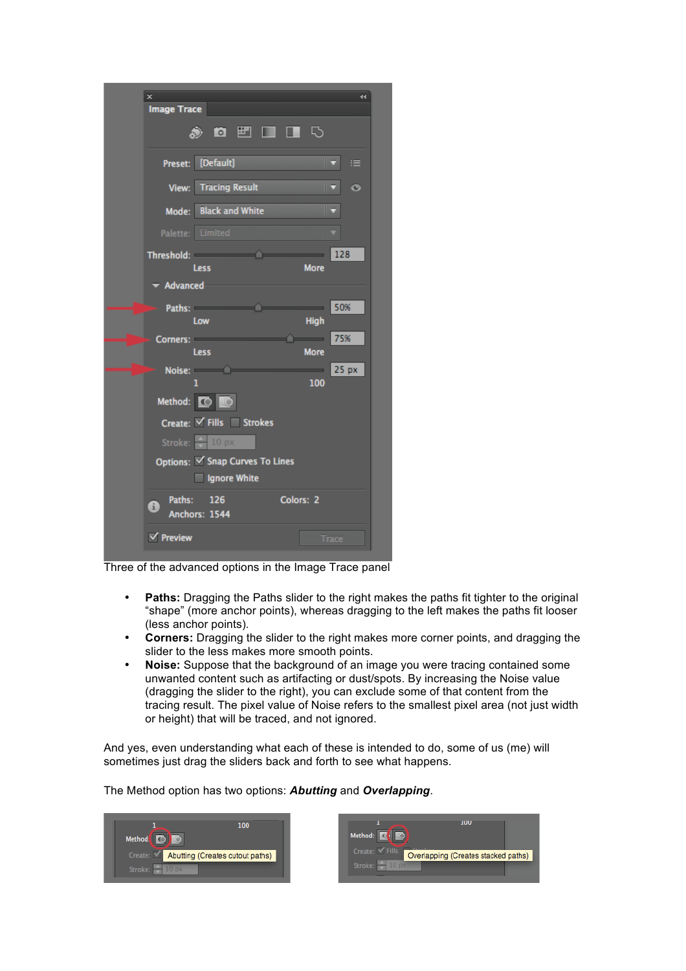| ×                  |                                                                                                                                                                                                                                |                               | 44             |
|--------------------|--------------------------------------------------------------------------------------------------------------------------------------------------------------------------------------------------------------------------------|-------------------------------|----------------|
| <b>Image Trace</b> |                                                                                                                                                                                                                                |                               |                |
|                    |                                                                                                                                                                                                                                |                               |                |
|                    | Preset: [Default]                                                                                                                                                                                                              |                               | 這<br>⊽         |
| View:              | <b>Tracing Result</b>                                                                                                                                                                                                          |                               | ⊩<br>$\bullet$ |
| Mode:              | <b>Black and White</b>                                                                                                                                                                                                         |                               | □              |
|                    | Palette: Limited                                                                                                                                                                                                               |                               |                |
|                    | Threshold: <b>Alta Contract Contract Contract</b>                                                                                                                                                                              |                               | 128            |
| Advanced           | <b>Less</b>                                                                                                                                                                                                                    | <b>More</b>                   |                |
|                    | Paths: The Contract of the Contract of the Contract of the Contract of the Contract of the Contract of the Contract of the Contract of the Contract of the Contract of the Contract of the Contract of the Contract of the Con | and the state of the state of | 50%            |
|                    | Low                                                                                                                                                                                                                            | <b>High</b>                   |                |
|                    | Corners: <b>Example 2018</b>                                                                                                                                                                                                   | $\sim$ $\sim$                 | 75%            |
|                    | Less<br>Noise: <b>All Contracts</b>                                                                                                                                                                                            | <b>More</b><br><u>est</u>     | 25 px          |
|                    | ı                                                                                                                                                                                                                              | 100                           |                |
|                    | Method: 0                                                                                                                                                                                                                      |                               |                |
|                    | Create: √ Fills Strokes                                                                                                                                                                                                        |                               |                |
|                    | Stroke: $\leftarrow$ 10 px                                                                                                                                                                                                     |                               |                |
|                    | Options: Snap Curves To Lines                                                                                                                                                                                                  |                               |                |
|                    | Ignore White                                                                                                                                                                                                                   |                               |                |
| Paths:<br>A        | 126<br>Anchors: 1544                                                                                                                                                                                                           | Colors: 2                     |                |
| $\sqrt{}$ Preview  |                                                                                                                                                                                                                                |                               | Trace          |

Three of the advanced options in the Image Trace panel

- **Paths:** Dragging the Paths slider to the right makes the paths fit tighter to the original "shape" (more anchor points), whereas dragging to the left makes the paths fit looser (less anchor points).
- **Corners:** Dragging the slider to the right makes more corner points, and dragging the slider to the less makes more smooth points.
- **Noise:** Suppose that the background of an image you were tracing contained some unwanted content such as artifacting or dust/spots. By increasing the Noise value (dragging the slider to the right), you can exclude some of that content from the tracing result. The pixel value of Noise refers to the smallest pixel area (not just width or height) that will be traced, and not ignored.

And yes, even understanding what each of these is intended to do, some of us (me) will sometimes just drag the sliders back and forth to see what happens.

The Method option has two options: *Abutting* and *Overlapping*.

| 100<br><b>Method</b>                      | <b>Meth</b> | <b>TOD</b>                                                           |  |
|-------------------------------------------|-------------|----------------------------------------------------------------------|--|
| Create: M Abutting (Creates cutout paths) |             | Create: $\sqrt{\text{Fills}}$<br>Overlapping (Creates stacked paths) |  |
| Stroke:                                   |             | Stroke:                                                              |  |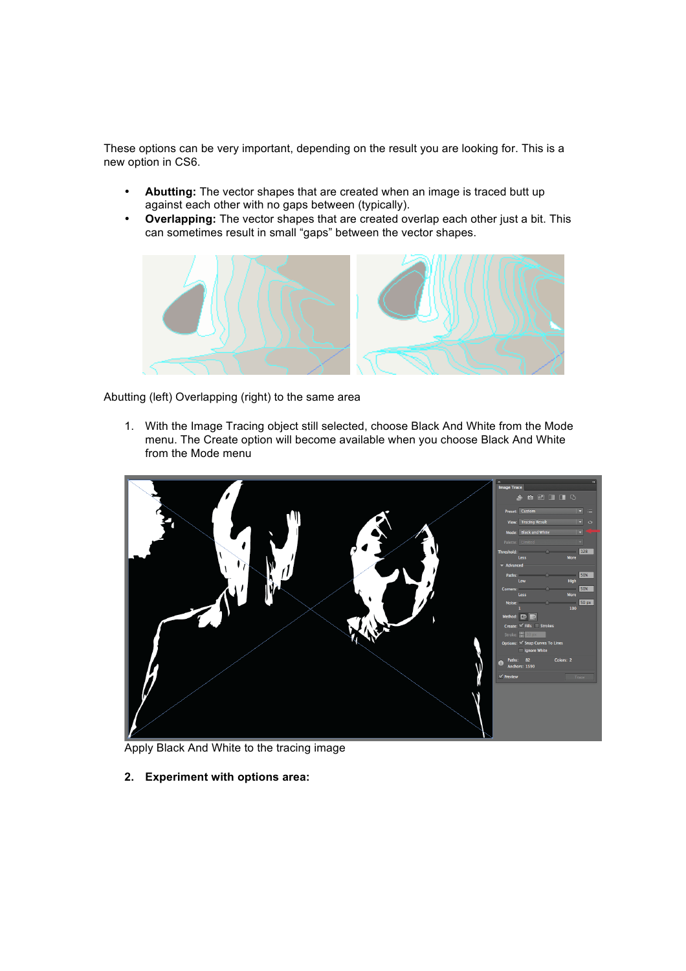These options can be very important, depending on the result you are looking for. This is a new option in CS6.

- **Abutting:** The vector shapes that are created when an image is traced butt up against each other with no gaps between (typically).
- **Overlapping:** The vector shapes that are created overlap each other just a bit. This can sometimes result in small "gaps" between the vector shapes.



Abutting (left) Overlapping (right) to the same area

1. With the Image Tracing object still selected, choose Black And White from the Mode menu. The Create option will become available when you choose Black And White from the Mode menu



Apply Black And White to the tracing image

**2. Experiment with options area:**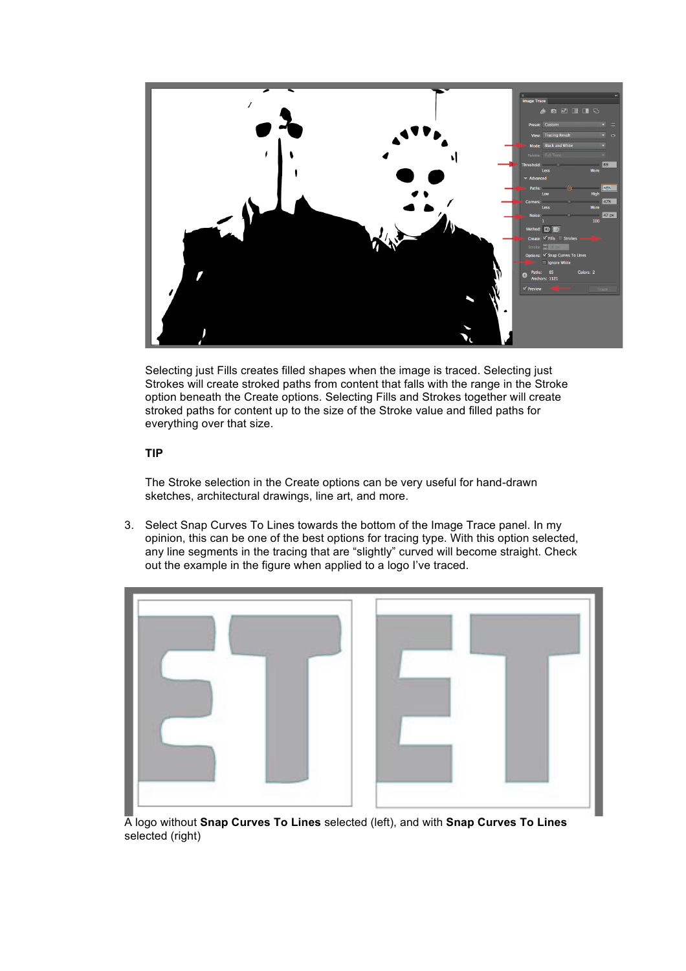

Selecting just Fills creates filled shapes when the image is traced. Selecting just Strokes will create stroked paths from content that falls with the range in the Stroke option beneath the Create options. Selecting Fills and Strokes together will create stroked paths for content up to the size of the Stroke value and filled paths for everything over that size.

# **TIP**

The Stroke selection in the Create options can be very useful for hand-drawn sketches, architectural drawings, line art, and more.

3. Select Snap Curves To Lines towards the bottom of the Image Trace panel. In my opinion, this can be one of the best options for tracing type. With this option selected, any line segments in the tracing that are "slightly" curved will become straight. Check out the example in the figure when applied to a logo I've traced.



A logo without **Snap Curves To Lines** selected (left), and with **Snap Curves To Lines** selected (right)